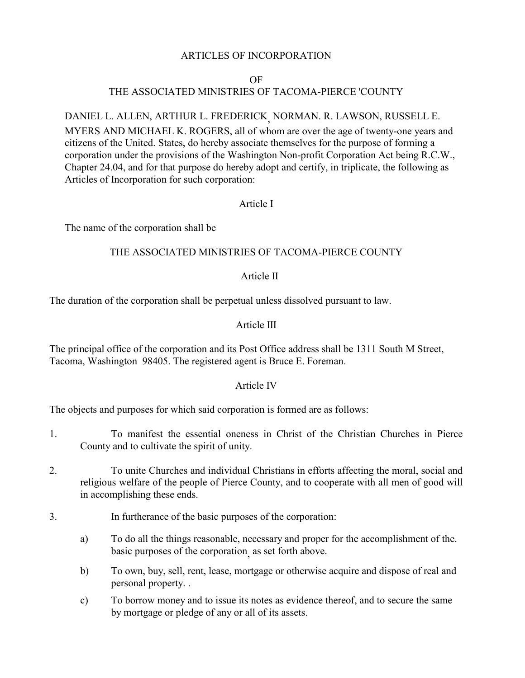#### ARTICLES OF INCORPORATION

#### OF

# THE ASSOCIATED MINISTRIES OF TACOMA-PIERCE 'COUNTY

## DANIEL L. ALLEN, ARTHUR L. FREDERICK, NORMAN. R. LAWSON, RUSSELL E. MYERS AND MICHAEL K. ROGERS, all of whom are over the age of twenty-one years and citizens of the United. States, do hereby associate themselves for the purpose of forming a corporation under the provisions of the Washington Non-profit Corporation Act being R.C.W., Chapter 24.04, and for that purpose do hereby adopt and certify, in triplicate, the following as Articles of Incorporation for such corporation:

## Article I

The name of the corporation shall be

## THE ASSOCIATED MINISTRIES OF TACOMA-PIERCE COUNTY

## Article II

The duration of the corporation shall be perpetual unless dissolved pursuant to law.

## Article III

The principal office of the corporation and its Post Office address shall be 1311 South M Street, Tacoma, Washington 98405. The registered agent is Bruce E. Foreman.

#### Article IV

The objects and purposes for which said corporation is formed are as follows:

- 1. To manifest the essential oneness in Christ of the Christian Churches in Pierce County and to cultivate the spirit of unity.
- 2. To unite Churches and individual Christians in efforts affecting the moral, social and religious welfare of the people of Pierce County, and to cooperate with all men of good will in accomplishing these ends.
- 3. In furtherance of the basic purposes of the corporation:
	- a) To do all the things reasonable, necessary and proper for the accomplishment of the. basic purposes of the corporation, as set forth above.
	- b) To own, buy, sell, rent, lease, mortgage or otherwise acquire and dispose of real and personal property. .
	- c) To borrow money and to issue its notes as evidence thereof, and to secure the same by mortgage or pledge of any or all of its assets.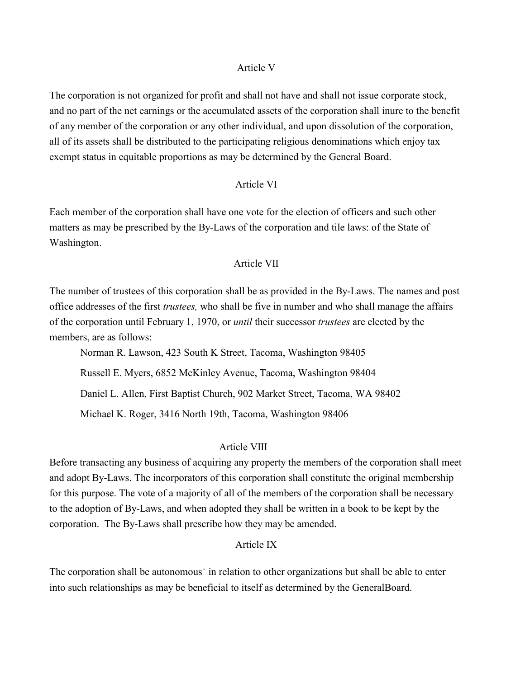#### Article V

The corporation is not organized for profit and shall not have and shall not issue corporate stock, and no part of the net earnings or the accumulated assets of the corporation shall inure to the benefit of any member of the corporation or any other individual, and upon dissolution of the corporation, all of its assets shall be distributed to the participating religious denominations which enjoy tax exempt status in equitable proportions as may be determined by the General Board.

## Article VI

Each member of the corporation shall have one vote for the election of officers and such other matters as may be prescribed by the By-Laws of the corporation and tile laws: of the State of Washington.

## Article VII

The number of trustees of this corporation shall be as provided in the By-Laws. The names and post office addresses of the first *trustees,* who shall be five in number and who shall manage the affairs of the corporation until February 1, 1970, or *until* their successor *trustees* are elected by the members, are as follows:

Norman R. Lawson, 423 South K Street, Tacoma, Washington 98405 Russell E. Myers, 6852 McKinley Avenue, Tacoma, Washington 98404 Daniel L. Allen, First Baptist Church, 902 Market Street, Tacoma, WA 98402 Michael K. Roger, 3416 North 19th, Tacoma, Washington 98406

#### Article VIII

Before transacting any business of acquiring any property the members of the corporation shall meet and adopt By-Laws. The incorporators of this corporation shall constitute the original membership for this purpose. The vote of a majority of all of the members of the corporation shall be necessary to the adoption of By-Laws, and when adopted they shall be written in a book to be kept by the corporation. The By-Laws shall prescribe how they may be amended.

## Article IX

The corporation shall be autonomous in relation to other organizations but shall be able to enter into such relationships as may be beneficial to itself as determined by the GeneralBoard.